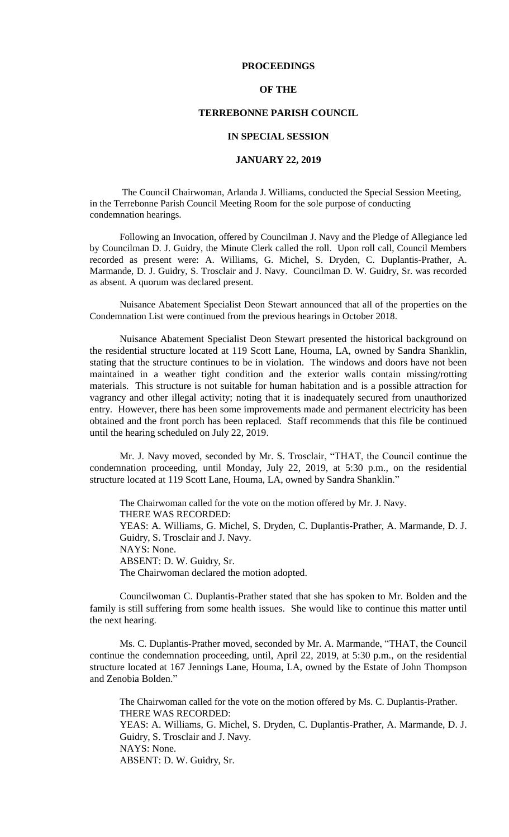## **PROCEEDINGS**

## **OF THE**

# **TERREBONNE PARISH COUNCIL**

#### **IN SPECIAL SESSION**

# **JANUARY 22, 2019**

The Council Chairwoman, Arlanda J. Williams, conducted the Special Session Meeting, in the Terrebonne Parish Council Meeting Room for the sole purpose of conducting condemnation hearings.

Following an Invocation, offered by Councilman J. Navy and the Pledge of Allegiance led by Councilman D. J. Guidry, the Minute Clerk called the roll. Upon roll call, Council Members recorded as present were: A. Williams, G. Michel, S. Dryden, C. Duplantis-Prather, A. Marmande, D. J. Guidry, S. Trosclair and J. Navy. Councilman D. W. Guidry, Sr. was recorded as absent. A quorum was declared present.

Nuisance Abatement Specialist Deon Stewart announced that all of the properties on the Condemnation List were continued from the previous hearings in October 2018.

Nuisance Abatement Specialist Deon Stewart presented the historical background on the residential structure located at 119 Scott Lane, Houma, LA, owned by Sandra Shanklin, stating that the structure continues to be in violation. The windows and doors have not been maintained in a weather tight condition and the exterior walls contain missing/rotting materials. This structure is not suitable for human habitation and is a possible attraction for vagrancy and other illegal activity; noting that it is inadequately secured from unauthorized entry. However, there has been some improvements made and permanent electricity has been obtained and the front porch has been replaced. Staff recommends that this file be continued until the hearing scheduled on July 22, 2019.

Mr. J. Navy moved, seconded by Mr. S. Trosclair, "THAT, the Council continue the condemnation proceeding, until Monday, July 22, 2019, at 5:30 p.m., on the residential structure located at 119 Scott Lane, Houma, LA, owned by Sandra Shanklin."

The Chairwoman called for the vote on the motion offered by Mr. J. Navy. THERE WAS RECORDED: YEAS: A. Williams, G. Michel, S. Dryden, C. Duplantis-Prather, A. Marmande, D. J. Guidry, S. Trosclair and J. Navy. NAYS: None. ABSENT: D. W. Guidry, Sr. The Chairwoman declared the motion adopted.

Councilwoman C. Duplantis-Prather stated that she has spoken to Mr. Bolden and the family is still suffering from some health issues. She would like to continue this matter until the next hearing.

Ms. C. Duplantis-Prather moved, seconded by Mr. A. Marmande, "THAT, the Council continue the condemnation proceeding, until, April 22, 2019, at 5:30 p.m., on the residential structure located at 167 Jennings Lane, Houma, LA, owned by the Estate of John Thompson and Zenobia Bolden."

The Chairwoman called for the vote on the motion offered by Ms. C. Duplantis-Prather. THERE WAS RECORDED: YEAS: A. Williams, G. Michel, S. Dryden, C. Duplantis-Prather, A. Marmande, D. J.

Guidry, S. Trosclair and J. Navy. NAYS: None. ABSENT: D. W. Guidry, Sr.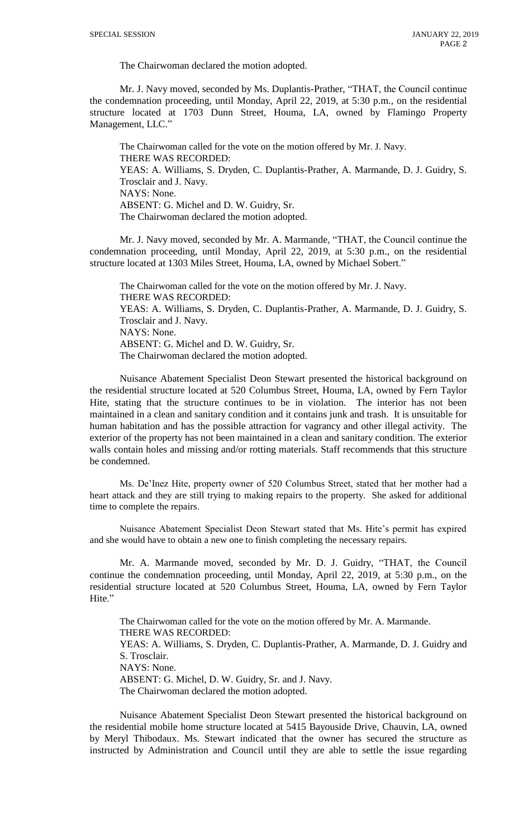The Chairwoman declared the motion adopted.

Mr. J. Navy moved, seconded by Ms. Duplantis-Prather, "THAT, the Council continue the condemnation proceeding, until Monday, April 22, 2019, at 5:30 p.m., on the residential structure located at 1703 Dunn Street, Houma, LA, owned by Flamingo Property Management, LLC."

The Chairwoman called for the vote on the motion offered by Mr. J. Navy. THERE WAS RECORDED: YEAS: A. Williams, S. Dryden, C. Duplantis-Prather, A. Marmande, D. J. Guidry, S. Trosclair and J. Navy. NAYS: None. ABSENT: G. Michel and D. W. Guidry, Sr. The Chairwoman declared the motion adopted.

Mr. J. Navy moved, seconded by Mr. A. Marmande, "THAT, the Council continue the condemnation proceeding, until Monday, April 22, 2019, at 5:30 p.m., on the residential structure located at 1303 Miles Street, Houma, LA, owned by Michael Sobert."

The Chairwoman called for the vote on the motion offered by Mr. J. Navy. THERE WAS RECORDED: YEAS: A. Williams, S. Dryden, C. Duplantis-Prather, A. Marmande, D. J. Guidry, S. Trosclair and J. Navy. NAYS: None. ABSENT: G. Michel and D. W. Guidry, Sr. The Chairwoman declared the motion adopted.

Nuisance Abatement Specialist Deon Stewart presented the historical background on the residential structure located at 520 Columbus Street, Houma, LA, owned by Fern Taylor Hite, stating that the structure continues to be in violation. The interior has not been maintained in a clean and sanitary condition and it contains junk and trash. It is unsuitable for human habitation and has the possible attraction for vagrancy and other illegal activity. The exterior of the property has not been maintained in a clean and sanitary condition. The exterior walls contain holes and missing and/or rotting materials. Staff recommends that this structure be condemned.

Ms. De'Inez Hite, property owner of 520 Columbus Street, stated that her mother had a heart attack and they are still trying to making repairs to the property. She asked for additional time to complete the repairs.

Nuisance Abatement Specialist Deon Stewart stated that Ms. Hite's permit has expired and she would have to obtain a new one to finish completing the necessary repairs.

Mr. A. Marmande moved, seconded by Mr. D. J. Guidry, "THAT, the Council continue the condemnation proceeding, until Monday, April 22, 2019, at 5:30 p.m., on the residential structure located at 520 Columbus Street, Houma, LA, owned by Fern Taylor Hite."

The Chairwoman called for the vote on the motion offered by Mr. A. Marmande. THERE WAS RECORDED: YEAS: A. Williams, S. Dryden, C. Duplantis-Prather, A. Marmande, D. J. Guidry and S. Trosclair. NAYS: None. ABSENT: G. Michel, D. W. Guidry, Sr. and J. Navy. The Chairwoman declared the motion adopted.

Nuisance Abatement Specialist Deon Stewart presented the historical background on the residential mobile home structure located at 5415 Bayouside Drive, Chauvin, LA, owned by Meryl Thibodaux. Ms. Stewart indicated that the owner has secured the structure as instructed by Administration and Council until they are able to settle the issue regarding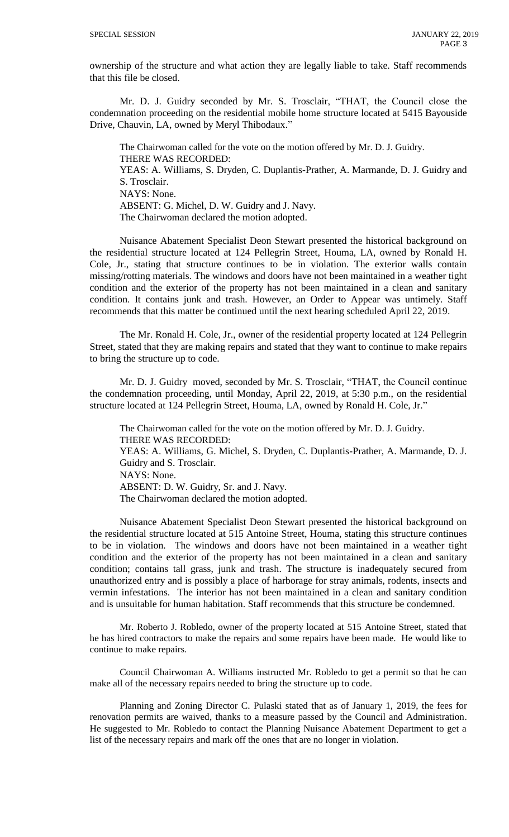ownership of the structure and what action they are legally liable to take. Staff recommends that this file be closed.

Mr. D. J. Guidry seconded by Mr. S. Trosclair, "THAT, the Council close the condemnation proceeding on the residential mobile home structure located at 5415 Bayouside Drive, Chauvin, LA, owned by Meryl Thibodaux."

The Chairwoman called for the vote on the motion offered by Mr. D. J. Guidry. THERE WAS RECORDED: YEAS: A. Williams, S. Dryden, C. Duplantis-Prather, A. Marmande, D. J. Guidry and S. Trosclair. NAYS: None. ABSENT: G. Michel, D. W. Guidry and J. Navy. The Chairwoman declared the motion adopted.

Nuisance Abatement Specialist Deon Stewart presented the historical background on the residential structure located at 124 Pellegrin Street, Houma, LA, owned by Ronald H. Cole, Jr., stating that structure continues to be in violation. The exterior walls contain missing/rotting materials. The windows and doors have not been maintained in a weather tight condition and the exterior of the property has not been maintained in a clean and sanitary condition. It contains junk and trash. However, an Order to Appear was untimely. Staff recommends that this matter be continued until the next hearing scheduled April 22, 2019.

The Mr. Ronald H. Cole, Jr., owner of the residential property located at 124 Pellegrin Street, stated that they are making repairs and stated that they want to continue to make repairs to bring the structure up to code.

Mr. D. J. Guidry moved, seconded by Mr. S. Trosclair, "THAT, the Council continue the condemnation proceeding, until Monday, April 22, 2019, at 5:30 p.m., on the residential structure located at 124 Pellegrin Street, Houma, LA, owned by Ronald H. Cole, Jr."

The Chairwoman called for the vote on the motion offered by Mr. D. J. Guidry. THERE WAS RECORDED: YEAS: A. Williams, G. Michel, S. Dryden, C. Duplantis-Prather, A. Marmande, D. J. Guidry and S. Trosclair. NAYS: None. ABSENT: D. W. Guidry, Sr. and J. Navy. The Chairwoman declared the motion adopted.

Nuisance Abatement Specialist Deon Stewart presented the historical background on the residential structure located at 515 Antoine Street, Houma, stating this structure continues to be in violation. The windows and doors have not been maintained in a weather tight condition and the exterior of the property has not been maintained in a clean and sanitary condition; contains tall grass, junk and trash. The structure is inadequately secured from unauthorized entry and is possibly a place of harborage for stray animals, rodents, insects and vermin infestations. The interior has not been maintained in a clean and sanitary condition and is unsuitable for human habitation. Staff recommends that this structure be condemned.

Mr. Roberto J. Robledo, owner of the property located at 515 Antoine Street, stated that he has hired contractors to make the repairs and some repairs have been made. He would like to continue to make repairs.

Council Chairwoman A. Williams instructed Mr. Robledo to get a permit so that he can make all of the necessary repairs needed to bring the structure up to code.

Planning and Zoning Director C. Pulaski stated that as of January 1, 2019, the fees for renovation permits are waived, thanks to a measure passed by the Council and Administration. He suggested to Mr. Robledo to contact the Planning Nuisance Abatement Department to get a list of the necessary repairs and mark off the ones that are no longer in violation.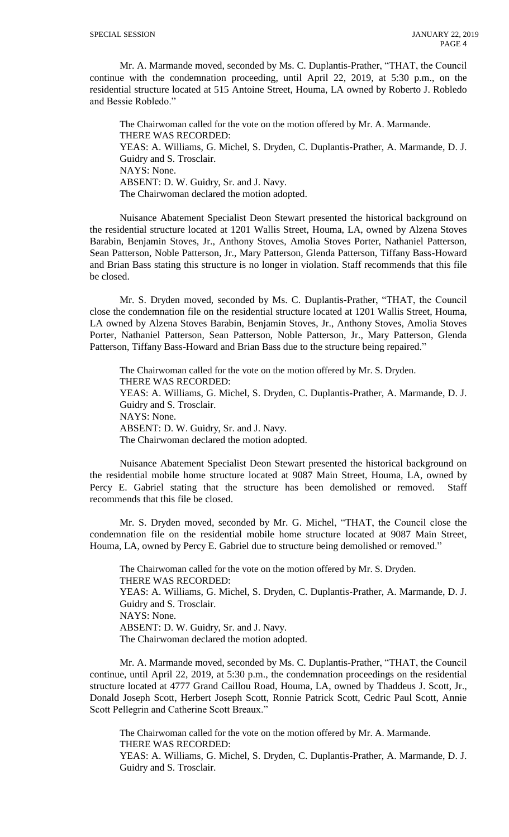Mr. A. Marmande moved, seconded by Ms. C. Duplantis-Prather, "THAT, the Council continue with the condemnation proceeding, until April 22, 2019, at 5:30 p.m., on the residential structure located at 515 Antoine Street, Houma, LA owned by Roberto J. Robledo and Bessie Robledo."

The Chairwoman called for the vote on the motion offered by Mr. A. Marmande. THERE WAS RECORDED: YEAS: A. Williams, G. Michel, S. Dryden, C. Duplantis-Prather, A. Marmande, D. J. Guidry and S. Trosclair. NAYS: None. ABSENT: D. W. Guidry, Sr. and J. Navy. The Chairwoman declared the motion adopted.

Nuisance Abatement Specialist Deon Stewart presented the historical background on the residential structure located at 1201 Wallis Street, Houma, LA, owned by Alzena Stoves Barabin, Benjamin Stoves, Jr., Anthony Stoves, Amolia Stoves Porter, Nathaniel Patterson, Sean Patterson, Noble Patterson, Jr., Mary Patterson, Glenda Patterson, Tiffany Bass-Howard and Brian Bass stating this structure is no longer in violation. Staff recommends that this file be closed.

Mr. S. Dryden moved, seconded by Ms. C. Duplantis-Prather, "THAT, the Council close the condemnation file on the residential structure located at 1201 Wallis Street, Houma, LA owned by Alzena Stoves Barabin, Benjamin Stoves, Jr., Anthony Stoves, Amolia Stoves Porter, Nathaniel Patterson, Sean Patterson, Noble Patterson, Jr., Mary Patterson, Glenda Patterson, Tiffany Bass-Howard and Brian Bass due to the structure being repaired."

The Chairwoman called for the vote on the motion offered by Mr. S. Dryden. THERE WAS RECORDED: YEAS: A. Williams, G. Michel, S. Dryden, C. Duplantis-Prather, A. Marmande, D. J. Guidry and S. Trosclair. NAYS: None. ABSENT: D. W. Guidry, Sr. and J. Navy. The Chairwoman declared the motion adopted.

Nuisance Abatement Specialist Deon Stewart presented the historical background on the residential mobile home structure located at 9087 Main Street, Houma, LA, owned by Percy E. Gabriel stating that the structure has been demolished or removed. Staff recommends that this file be closed.

Mr. S. Dryden moved, seconded by Mr. G. Michel, "THAT, the Council close the condemnation file on the residential mobile home structure located at 9087 Main Street, Houma, LA, owned by Percy E. Gabriel due to structure being demolished or removed."

The Chairwoman called for the vote on the motion offered by Mr. S. Dryden. THERE WAS RECORDED: YEAS: A. Williams, G. Michel, S. Dryden, C. Duplantis-Prather, A. Marmande, D. J. Guidry and S. Trosclair. NAYS: None. ABSENT: D. W. Guidry, Sr. and J. Navy. The Chairwoman declared the motion adopted.

Mr. A. Marmande moved, seconded by Ms. C. Duplantis-Prather, "THAT, the Council continue, until April 22, 2019, at 5:30 p.m., the condemnation proceedings on the residential structure located at 4777 Grand Caillou Road, Houma, LA, owned by Thaddeus J. Scott, Jr., Donald Joseph Scott, Herbert Joseph Scott, Ronnie Patrick Scott, Cedric Paul Scott, Annie Scott Pellegrin and Catherine Scott Breaux."

The Chairwoman called for the vote on the motion offered by Mr. A. Marmande. THERE WAS RECORDED:

YEAS: A. Williams, G. Michel, S. Dryden, C. Duplantis-Prather, A. Marmande, D. J. Guidry and S. Trosclair.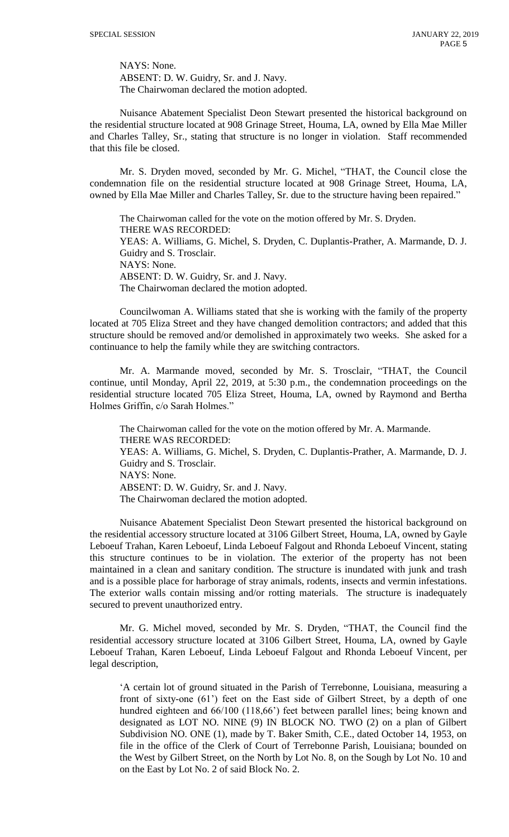NAYS: None. ABSENT: D. W. Guidry, Sr. and J. Navy. The Chairwoman declared the motion adopted.

Nuisance Abatement Specialist Deon Stewart presented the historical background on the residential structure located at 908 Grinage Street, Houma, LA, owned by Ella Mae Miller and Charles Talley, Sr., stating that structure is no longer in violation. Staff recommended that this file be closed.

Mr. S. Dryden moved, seconded by Mr. G. Michel, "THAT, the Council close the condemnation file on the residential structure located at 908 Grinage Street, Houma, LA, owned by Ella Mae Miller and Charles Talley, Sr. due to the structure having been repaired."

The Chairwoman called for the vote on the motion offered by Mr. S. Dryden. THERE WAS RECORDED: YEAS: A. Williams, G. Michel, S. Dryden, C. Duplantis-Prather, A. Marmande, D. J. Guidry and S. Trosclair. NAYS: None. ABSENT: D. W. Guidry, Sr. and J. Navy. The Chairwoman declared the motion adopted.

Councilwoman A. Williams stated that she is working with the family of the property located at 705 Eliza Street and they have changed demolition contractors; and added that this structure should be removed and/or demolished in approximately two weeks. She asked for a continuance to help the family while they are switching contractors.

Mr. A. Marmande moved, seconded by Mr. S. Trosclair, "THAT, the Council continue, until Monday, April 22, 2019, at 5:30 p.m., the condemnation proceedings on the residential structure located 705 Eliza Street, Houma, LA, owned by Raymond and Bertha Holmes Griffin, c/o Sarah Holmes."

The Chairwoman called for the vote on the motion offered by Mr. A. Marmande. THERE WAS RECORDED: YEAS: A. Williams, G. Michel, S. Dryden, C. Duplantis-Prather, A. Marmande, D. J. Guidry and S. Trosclair. NAYS: None. ABSENT: D. W. Guidry, Sr. and J. Navy. The Chairwoman declared the motion adopted.

Nuisance Abatement Specialist Deon Stewart presented the historical background on the residential accessory structure located at 3106 Gilbert Street, Houma, LA, owned by Gayle Leboeuf Trahan, Karen Leboeuf, Linda Leboeuf Falgout and Rhonda Leboeuf Vincent, stating this structure continues to be in violation. The exterior of the property has not been maintained in a clean and sanitary condition. The structure is inundated with junk and trash and is a possible place for harborage of stray animals, rodents, insects and vermin infestations. The exterior walls contain missing and/or rotting materials. The structure is inadequately secured to prevent unauthorized entry.

Mr. G. Michel moved, seconded by Mr. S. Dryden, "THAT, the Council find the residential accessory structure located at 3106 Gilbert Street, Houma, LA, owned by Gayle Leboeuf Trahan, Karen Leboeuf, Linda Leboeuf Falgout and Rhonda Leboeuf Vincent, per legal description,

'A certain lot of ground situated in the Parish of Terrebonne, Louisiana, measuring a front of sixty-one (61') feet on the East side of Gilbert Street, by a depth of one hundred eighteen and 66/100 (118,66') feet between parallel lines; being known and designated as LOT NO. NINE (9) IN BLOCK NO. TWO (2) on a plan of Gilbert Subdivision NO. ONE (1), made by T. Baker Smith, C.E., dated October 14, 1953, on file in the office of the Clerk of Court of Terrebonne Parish, Louisiana; bounded on the West by Gilbert Street, on the North by Lot No. 8, on the Sough by Lot No. 10 and on the East by Lot No. 2 of said Block No. 2.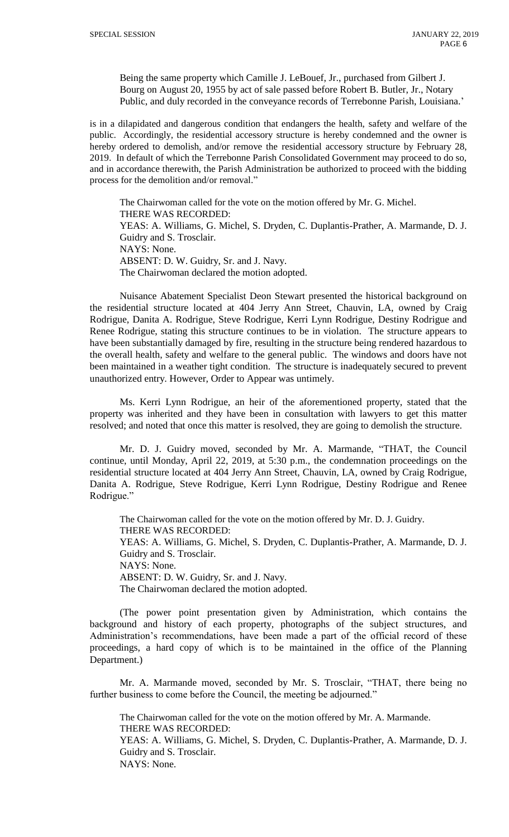Being the same property which Camille J. LeBouef, Jr., purchased from Gilbert J. Bourg on August 20, 1955 by act of sale passed before Robert B. Butler, Jr., Notary Public, and duly recorded in the conveyance records of Terrebonne Parish, Louisiana.'

is in a dilapidated and dangerous condition that endangers the health, safety and welfare of the public. Accordingly, the residential accessory structure is hereby condemned and the owner is hereby ordered to demolish, and/or remove the residential accessory structure by February 28, 2019. In default of which the Terrebonne Parish Consolidated Government may proceed to do so, and in accordance therewith, the Parish Administration be authorized to proceed with the bidding process for the demolition and/or removal."

The Chairwoman called for the vote on the motion offered by Mr. G. Michel. THERE WAS RECORDED: YEAS: A. Williams, G. Michel, S. Dryden, C. Duplantis-Prather, A. Marmande, D. J. Guidry and S. Trosclair. NAYS: None. ABSENT: D. W. Guidry, Sr. and J. Navy. The Chairwoman declared the motion adopted.

Nuisance Abatement Specialist Deon Stewart presented the historical background on the residential structure located at 404 Jerry Ann Street, Chauvin, LA, owned by Craig Rodrigue, Danita A. Rodrigue, Steve Rodrigue, Kerri Lynn Rodrigue, Destiny Rodrigue and Renee Rodrigue, stating this structure continues to be in violation. The structure appears to have been substantially damaged by fire, resulting in the structure being rendered hazardous to the overall health, safety and welfare to the general public. The windows and doors have not been maintained in a weather tight condition. The structure is inadequately secured to prevent unauthorized entry. However, Order to Appear was untimely.

Ms. Kerri Lynn Rodrigue, an heir of the aforementioned property, stated that the property was inherited and they have been in consultation with lawyers to get this matter resolved; and noted that once this matter is resolved, they are going to demolish the structure.

Mr. D. J. Guidry moved, seconded by Mr. A. Marmande, "THAT, the Council continue, until Monday, April 22, 2019, at 5:30 p.m., the condemnation proceedings on the residential structure located at 404 Jerry Ann Street, Chauvin, LA, owned by Craig Rodrigue, Danita A. Rodrigue, Steve Rodrigue, Kerri Lynn Rodrigue, Destiny Rodrigue and Renee Rodrigue."

The Chairwoman called for the vote on the motion offered by Mr. D. J. Guidry. THERE WAS RECORDED: YEAS: A. Williams, G. Michel, S. Dryden, C. Duplantis-Prather, A. Marmande, D. J. Guidry and S. Trosclair. NAYS: None. ABSENT: D. W. Guidry, Sr. and J. Navy. The Chairwoman declared the motion adopted.

(The power point presentation given by Administration, which contains the background and history of each property, photographs of the subject structures, and Administration's recommendations, have been made a part of the official record of these proceedings, a hard copy of which is to be maintained in the office of the Planning Department.)

Mr. A. Marmande moved, seconded by Mr. S. Trosclair, "THAT, there being no further business to come before the Council, the meeting be adjourned."

The Chairwoman called for the vote on the motion offered by Mr. A. Marmande. THERE WAS RECORDED: YEAS: A. Williams, G. Michel, S. Dryden, C. Duplantis-Prather, A. Marmande, D. J. Guidry and S. Trosclair. NAYS: None.